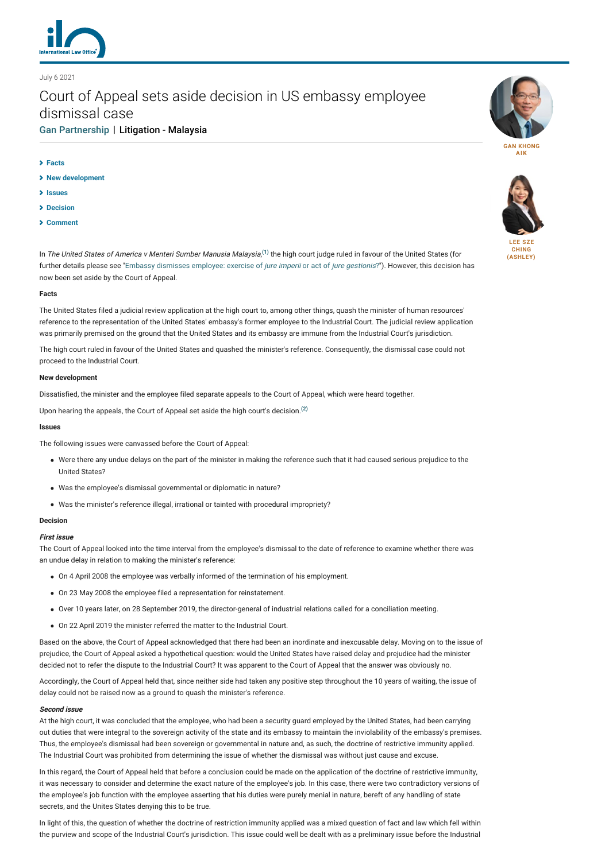

# July 6 2021

# Court of Appeal sets aside decision in US embassy employee dismissal case

# [Gan Partnership](https://www.lexology.com/contributors/1106360) | Litigation - Malaysia

- **[Facts](#page-0-0)**
- **[New development](#page-0-1)**
- **[Issues](#page-0-2)**
- **[Decision](#page-0-3)**
- **[Comment](#page-1-0)**



**[GAN KHONG](https://www.lexology.com/1106360/author/Gan_Khong_Aik/) AIK**



**CHING [\(ASHLEY\)](https://www.lexology.com/1106360/author/Lee_Sze_Ching_Ashley_/)**

In *The United States of America v Menteri Sumber Manusia Malaysia*,<sup>[\(1\)](#page-1-1)</sup> the high court judge ruled in favour of the United States (for further details please see ["Embassy dismisses employee: exercise of](https://www.internationallawoffice.com/Newsletters/Litigation/Malaysia/Gan-Partnership/Embassy-dismisses-employee-exercise-of-jure-imperii-or-act-of-jure-gestionis) jure imperii or act of jure gestionis?"). However, this decision has now been set aside by the Court of Appeal.

#### <span id="page-0-0"></span>**Facts**

The United States filed a judicial review application at the high court to, among other things, quash the minister of human resources' reference to the representation of the United States' embassy's former employee to the Industrial Court. The judicial review application was primarily premised on the ground that the United States and its embassy are immune from the Industrial Court's jurisdiction.

The high court ruled in favour of the United States and quashed the minister's reference. Consequently, the dismissal case could not proceed to the Industrial Court.

### <span id="page-0-1"></span>**New development**

Dissatisfied, the minister and the employee filed separate appeals to the Court of Appeal, which were heard together.

Upon hearing the appeals, the Court of Appeal set aside the high court's decision.**[\(2\)](#page-1-2)**

#### <span id="page-0-2"></span>**Issues**

The following issues were canvassed before the Court of Appeal:

- Were there any undue delays on the part of the minister in making the reference such that it had caused serious prejudice to the United States?
- Was the employee's dismissal governmental or diplomatic in nature?
- Was the minister's reference illegal, irrational or tainted with procedural impropriety?

#### <span id="page-0-3"></span>**Decision**

#### **First issue**

The Court of Appeal looked into the time interval from the employee's dismissal to the date of reference to examine whether there was an undue delay in relation to making the minister's reference:

- On 4 April 2008 the employee was verbally informed of the termination of his employment.
- On 23 May 2008 the employee filed a representation for reinstatement.
- Over 10 years later, on 28 September 2019, the director-general of industrial relations called for a conciliation meeting.
- On 22 April 2019 the minister referred the matter to the Industrial Court.

Based on the above, the Court of Appeal acknowledged that there had been an inordinate and inexcusable delay. Moving on to the issue of prejudice, the Court of Appeal asked a hypothetical question: would the United States have raised delay and prejudice had the minister decided not to refer the dispute to the Industrial Court? It was apparent to the Court of Appeal that the answer was obviously no.

Accordingly, the Court of Appeal held that, since neither side had taken any positive step throughout the 10 years of waiting, the issue of delay could not be raised now as a ground to quash the minister's reference.

#### **Second issue**

At the high court, it was concluded that the employee, who had been a security guard employed by the United States, had been carrying out duties that were integral to the sovereign activity of the state and its embassy to maintain the inviolability of the embassy's premises. Thus, the employee's dismissal had been sovereign or governmental in nature and, as such, the doctrine of restrictive immunity applied. The Industrial Court was prohibited from determining the issue of whether the dismissal was without just cause and excuse.

In this regard, the Court of Appeal held that before a conclusion could be made on the application of the doctrine of restrictive immunity, it was necessary to consider and determine the exact nature of the employee's job. In this case, there were two contradictory versions of the employee's job function with the employee asserting that his duties were purely menial in nature, bereft of any handling of state secrets, and the Unites States denying this to be true.

In light of this, the question of whether the doctrine of restriction immunity applied was a mixed question of fact and law which fell within the purview and scope of the Industrial Court's jurisdiction. This issue could well be dealt with as a preliminary issue before the Industrial